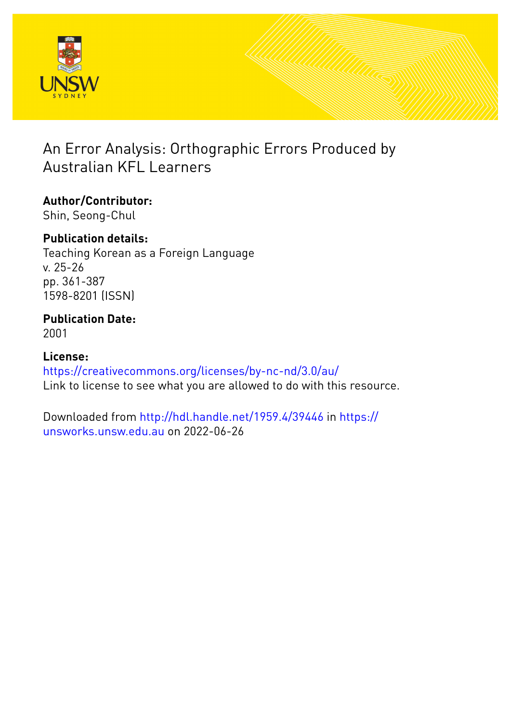

# An Error Analysis: Orthographic Errors Produced by Australian KFL Learners

## **Author/Contributor:** Shin, Seong-Chul

## **Publication details:**

Teaching Korean as a Foreign Language v. 25-26 pp. 361-387 1598-8201 (ISSN)

## **Publication Date:** 2001

## **License:** <https://creativecommons.org/licenses/by-nc-nd/3.0/au/> Link to license to see what you are allowed to do with this resource.

Downloaded from <http://hdl.handle.net/1959.4/39446> in [https://](https://unsworks.unsw.edu.au) [unsworks.unsw.edu.au](https://unsworks.unsw.edu.au) on 2022-06-26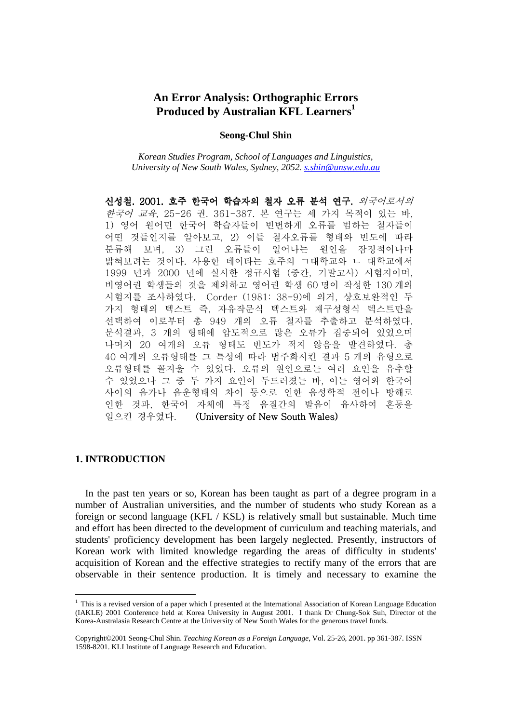## **An Error Analysis: Orthographic Errors Produced by Australian KFL Learners<sup>1</sup>**

#### **Seong-Chul Shin**

*Korean Studies Program, School of Languages and Linguistics, University of New South Wales, Sydney, 2052. s.shin@unsw.edu.au*

신성철. 2001. 호주 한국어 학습자의 철자 오류 분석 연구. 외국어로서의 한국어 교육, 25-26 권. 361-387. 본 연구는 세 가지 목적이 있는 바, 1) 영어 원어민 한국어 학습자들이 빈번하게 오류를 범하는 철자들이 어떤 것들인지를 알아보고, 2) 이들 철자오류를 형태와 빈도에 따라 분류해 보며, 3) 그런 오류들이 일어나는 원인을 잠정적이나마 밝혀보려는 것이다. 사용한 데이타는 호주의 ㄱ대학교와 ㄴ 대학교에서 1999 년과 2000 년에 실시한 정규시험 (중간, 기말고사) 시험지이며, 비영어권 학생들의 것을 제외하고 영어권 학생 60 명이 작성한 130 개의 시험지를 조사하였다. Corder (1981: 38-9)에 의거, 상호보완적인 두 가지 형태의 텍스트 즉, 자유작문식 텍스트와 재구성형식 텍스트만을 선택하여 이로부터 총 949 개의 오류 철자를 추출하고 분석하였다. 분석결과, 3 개의 형태에 압도적으로 많은 오류가 집중되어 있었으며 나머지 20 여개의 오류 형태도 빈도가 적지 않음을 발견하였다. 총 40 여개의 오류형태를 그 특성에 따라 범주화시킨 결과 5 개의 유형으로 오류형태를 꼴지울 수 있었다. 오류의 원인으로는 여러 요인을 유추할 수 있었으나 그 중 두 가지 요인이 두드러졌는 바, 이는 영어와 한국어 사이의 음가나 음운형태의 차이 등으로 인한 음성학적 전이나 방해로 인한 것과, 한국어 자체에 특정 음질간의 발음이 유사하여 혼동을 일으킨 경우였다. (University of New South Wales)

#### **1. INTRODUCTION**

-

 In the past ten years or so, Korean has been taught as part of a degree program in a number of Australian universities, and the number of students who study Korean as a foreign or second language (KFL / KSL) is relatively small but sustainable. Much time and effort has been directed to the development of curriculum and teaching materials, and students' proficiency development has been largely neglected. Presently, instructors of Korean work with limited knowledge regarding the areas of difficulty in students' acquisition of Korean and the effective strategies to rectify many of the errors that are observable in their sentence production. It is timely and necessary to examine the

<sup>&</sup>lt;sup>1</sup> This is a revised version of a paper which I presented at the International Association of Korean Language Education (IAKLE) 2001 Conference held at Korea University in August 2001. I thank Dr Chung-Sok Suh, Director of the Korea-Australasia Research Centre at the University of New South Wales for the generous travel funds.

Copyright©2001 Seong-Chul Shin. *Teaching Korean as a Foreign Language*, Vol. 25-26, 2001. pp 361-387. ISSN 1598-8201. KLI Institute of Language Research and Education.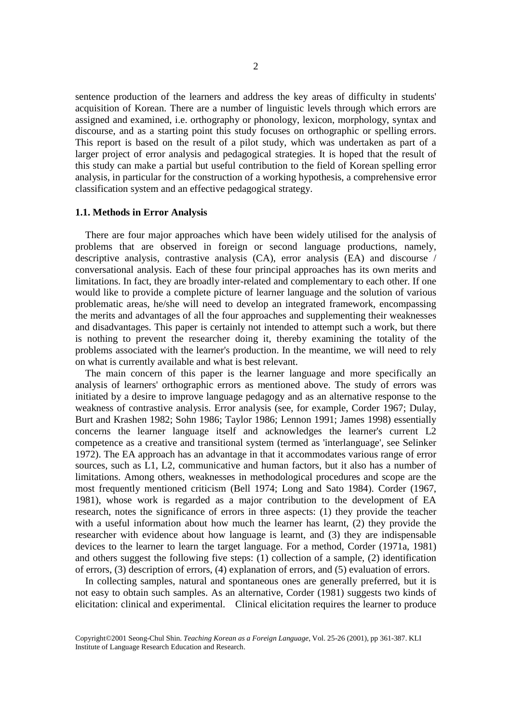sentence production of the learners and address the key areas of difficulty in students' acquisition of Korean. There are a number of linguistic levels through which errors are assigned and examined, i.e. orthography or phonology, lexicon, morphology, syntax and discourse, and as a starting point this study focuses on orthographic or spelling errors. This report is based on the result of a pilot study, which was undertaken as part of a larger project of error analysis and pedagogical strategies. It is hoped that the result of this study can make a partial but useful contribution to the field of Korean spelling error analysis, in particular for the construction of a working hypothesis, a comprehensive error classification system and an effective pedagogical strategy.

#### **1.1. Methods in Error Analysis**

 There are four major approaches which have been widely utilised for the analysis of problems that are observed in foreign or second language productions, namely, descriptive analysis, contrastive analysis (CA), error analysis (EA) and discourse / conversational analysis. Each of these four principal approaches has its own merits and limitations. In fact, they are broadly inter-related and complementary to each other. If one would like to provide a complete picture of learner language and the solution of various problematic areas, he/she will need to develop an integrated framework, encompassing the merits and advantages of all the four approaches and supplementing their weaknesses and disadvantages. This paper is certainly not intended to attempt such a work, but there is nothing to prevent the researcher doing it, thereby examining the totality of the problems associated with the learner's production. In the meantime, we will need to rely on what is currently available and what is best relevant.

 The main concern of this paper is the learner language and more specifically an analysis of learners' orthographic errors as mentioned above. The study of errors was initiated by a desire to improve language pedagogy and as an alternative response to the weakness of contrastive analysis. Error analysis (see, for example, Corder 1967; Dulay, Burt and Krashen 1982; Sohn 1986; Taylor 1986; Lennon 1991; James 1998) essentially concerns the learner language itself and acknowledges the learner's current L2 competence as a creative and transitional system (termed as 'interlanguage', see Selinker 1972). The EA approach has an advantage in that it accommodates various range of error sources, such as L1, L2, communicative and human factors, but it also has a number of limitations. Among others, weaknesses in methodological procedures and scope are the most frequently mentioned criticism (Bell 1974; Long and Sato 1984). Corder (1967, 1981), whose work is regarded as a major contribution to the development of EA research, notes the significance of errors in three aspects: (1) they provide the teacher with a useful information about how much the learner has learnt, (2) they provide the researcher with evidence about how language is learnt, and (3) they are indispensable devices to the learner to learn the target language. For a method, Corder (1971a, 1981) and others suggest the following five steps: (1) collection of a sample, (2) identification of errors, (3) description of errors, (4) explanation of errors, and (5) evaluation of errors.

 In collecting samples, natural and spontaneous ones are generally preferred, but it is not easy to obtain such samples. As an alternative, Corder (1981) suggests two kinds of elicitation: clinical and experimental. Clinical elicitation requires the learner to produce

Copyright©2001 Seong-Chul Shin. *Teaching Korean as a Foreign Language*, Vol. 25-26 (2001), pp 361-387. KLI Institute of Language Research Education and Research.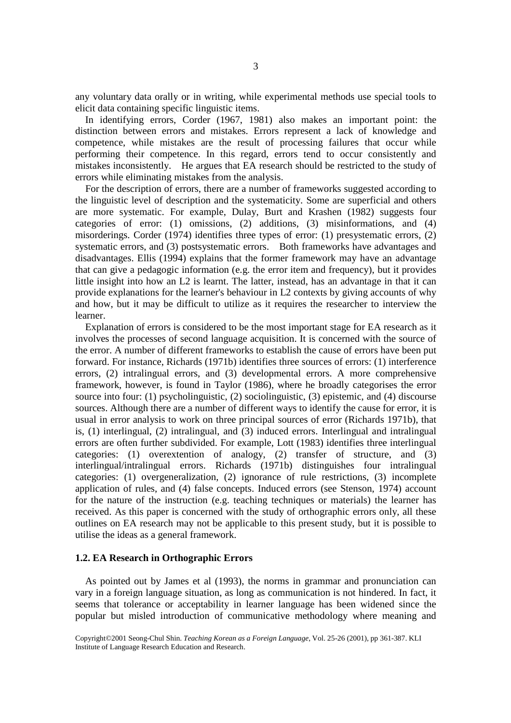any voluntary data orally or in writing, while experimental methods use special tools to elicit data containing specific linguistic items.

 In identifying errors, Corder (1967, 1981) also makes an important point: the distinction between errors and mistakes. Errors represent a lack of knowledge and competence, while mistakes are the result of processing failures that occur while performing their competence. In this regard, errors tend to occur consistently and mistakes inconsistently. He argues that EA research should be restricted to the study of errors while eliminating mistakes from the analysis.

 For the description of errors, there are a number of frameworks suggested according to the linguistic level of description and the systematicity. Some are superficial and others are more systematic. For example, Dulay, Burt and Krashen (1982) suggests four categories of error: (1) omissions, (2) additions, (3) misinformations, and (4) misorderings. Corder (1974) identifies three types of error: (1) presystematic errors, (2) systematic errors, and (3) postsystematic errors. Both frameworks have advantages and disadvantages. Ellis (1994) explains that the former framework may have an advantage that can give a pedagogic information (e.g. the error item and frequency), but it provides little insight into how an L2 is learnt. The latter, instead, has an advantage in that it can provide explanations for the learner's behaviour in L2 contexts by giving accounts of why and how, but it may be difficult to utilize as it requires the researcher to interview the learner.

 Explanation of errors is considered to be the most important stage for EA research as it involves the processes of second language acquisition. It is concerned with the source of the error. A number of different frameworks to establish the cause of errors have been put forward. For instance, Richards (1971b) identifies three sources of errors: (1) interference errors, (2) intralingual errors, and (3) developmental errors. A more comprehensive framework, however, is found in Taylor (1986), where he broadly categorises the error source into four: (1) psycholinguistic, (2) sociolinguistic, (3) epistemic, and (4) discourse sources. Although there are a number of different ways to identify the cause for error, it is usual in error analysis to work on three principal sources of error (Richards 1971b), that is, (1) interlingual, (2) intralingual, and (3) induced errors. Interlingual and intralingual errors are often further subdivided. For example, Lott (1983) identifies three interlingual categories: (1) overextention of analogy, (2) transfer of structure, and (3) interlingual/intralingual errors. Richards (1971b) distinguishes four intralingual categories: (1) overgeneralization, (2) ignorance of rule restrictions, (3) incomplete application of rules, and (4) false concepts. Induced errors (see Stenson, 1974) account for the nature of the instruction (e.g. teaching techniques or materials) the learner has received. As this paper is concerned with the study of orthographic errors only, all these outlines on EA research may not be applicable to this present study, but it is possible to utilise the ideas as a general framework.

#### **1.2. EA Research in Orthographic Errors**

 As pointed out by James et al (1993), the norms in grammar and pronunciation can vary in a foreign language situation, as long as communication is not hindered. In fact, it seems that tolerance or acceptability in learner language has been widened since the popular but misled introduction of communicative methodology where meaning and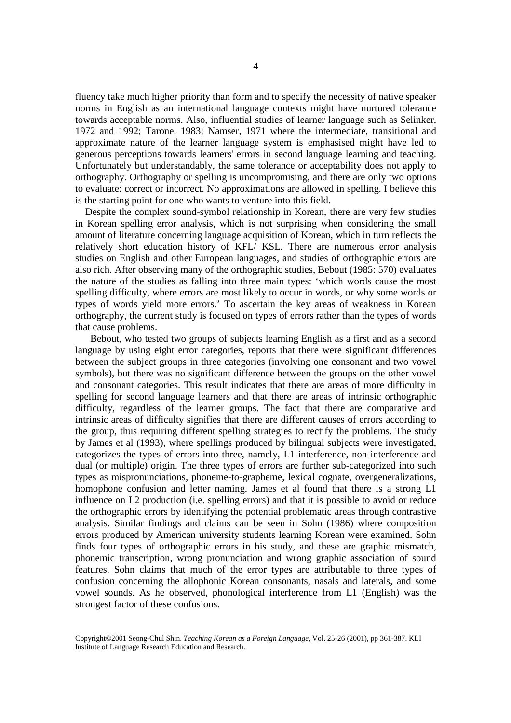fluency take much higher priority than form and to specify the necessity of native speaker norms in English as an international language contexts might have nurtured tolerance towards acceptable norms. Also, influential studies of learner language such as Selinker, 1972 and 1992; Tarone, 1983; Namser, 1971 where the intermediate, transitional and approximate nature of the learner language system is emphasised might have led to generous perceptions towards learners' errors in second language learning and teaching. Unfortunately but understandably, the same tolerance or acceptability does not apply to orthography. Orthography or spelling is uncompromising, and there are only two options to evaluate: correct or incorrect. No approximations are allowed in spelling. I believe this is the starting point for one who wants to venture into this field.

 Despite the complex sound-symbol relationship in Korean, there are very few studies in Korean spelling error analysis, which is not surprising when considering the small amount of literature concerning language acquisition of Korean, which in turn reflects the relatively short education history of KFL/ KSL. There are numerous error analysis studies on English and other European languages, and studies of orthographic errors are also rich. After observing many of the orthographic studies, Bebout (1985: 570) evaluates the nature of the studies as falling into three main types: 'which words cause the most spelling difficulty, where errors are most likely to occur in words, or why some words or types of words yield more errors.' To ascertain the key areas of weakness in Korean orthography, the current study is focused on types of errors rather than the types of words that cause problems.

 Bebout, who tested two groups of subjects learning English as a first and as a second language by using eight error categories, reports that there were significant differences between the subject groups in three categories (involving one consonant and two vowel symbols), but there was no significant difference between the groups on the other vowel and consonant categories. This result indicates that there are areas of more difficulty in spelling for second language learners and that there are areas of intrinsic orthographic difficulty, regardless of the learner groups. The fact that there are comparative and intrinsic areas of difficulty signifies that there are different causes of errors according to the group, thus requiring different spelling strategies to rectify the problems. The study by James et al (1993), where spellings produced by bilingual subjects were investigated, categorizes the types of errors into three, namely, L1 interference, non-interference and dual (or multiple) origin. The three types of errors are further sub-categorized into such types as mispronunciations, phoneme-to-grapheme, lexical cognate, overgeneralizations, homophone confusion and letter naming. James et al found that there is a strong L1 influence on L2 production (i.e. spelling errors) and that it is possible to avoid or reduce the orthographic errors by identifying the potential problematic areas through contrastive analysis. Similar findings and claims can be seen in Sohn (1986) where composition errors produced by American university students learning Korean were examined. Sohn finds four types of orthographic errors in his study, and these are graphic mismatch, phonemic transcription, wrong pronunciation and wrong graphic association of sound features. Sohn claims that much of the error types are attributable to three types of confusion concerning the allophonic Korean consonants, nasals and laterals, and some vowel sounds. As he observed, phonological interference from L1 (English) was the strongest factor of these confusions.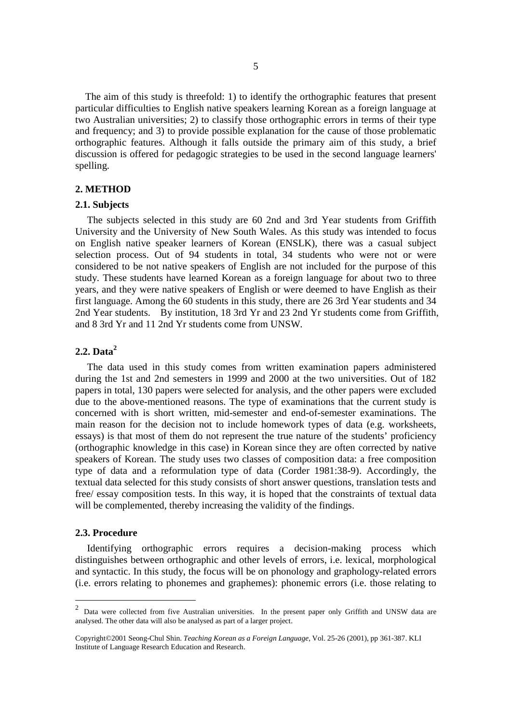The aim of this study is threefold: 1) to identify the orthographic features that present particular difficulties to English native speakers learning Korean as a foreign language at two Australian universities; 2) to classify those orthographic errors in terms of their type and frequency; and 3) to provide possible explanation for the cause of those problematic orthographic features. Although it falls outside the primary aim of this study, a brief discussion is offered for pedagogic strategies to be used in the second language learners' spelling.

#### **2. METHOD**

#### **2.1. Subjects**

The subjects selected in this study are 60 2nd and 3rd Year students from Griffith University and the University of New South Wales. As this study was intended to focus on English native speaker learners of Korean (ENSLK), there was a casual subject selection process. Out of 94 students in total, 34 students who were not or were considered to be not native speakers of English are not included for the purpose of this study. These students have learned Korean as a foreign language for about two to three years, and they were native speakers of English or were deemed to have English as their first language. Among the 60 students in this study, there are 26 3rd Year students and 34 2nd Year students. By institution, 18 3rd Yr and 23 2nd Yr students come from Griffith, and 8 3rd Yr and 11 2nd Yr students come from UNSW.

#### **2.2. Data<sup>2</sup>**

The data used in this study comes from written examination papers administered during the 1st and 2nd semesters in 1999 and 2000 at the two universities. Out of 182 papers in total, 130 papers were selected for analysis, and the other papers were excluded due to the above-mentioned reasons. The type of examinations that the current study is concerned with is short written, mid-semester and end-of-semester examinations. The main reason for the decision not to include homework types of data (e.g. worksheets, essays) is that most of them do not represent the true nature of the students' proficiency (orthographic knowledge in this case) in Korean since they are often corrected by native speakers of Korean. The study uses two classes of composition data: a free composition type of data and a reformulation type of data (Corder 1981:38-9). Accordingly, the textual data selected for this study consists of short answer questions, translation tests and free/ essay composition tests. In this way, it is hoped that the constraints of textual data will be complemented, thereby increasing the validity of the findings.

#### **2.3. Procedure**

Identifying orthographic errors requires a decision-making process which distinguishes between orthographic and other levels of errors, i.e. lexical, morphological and syntactic. In this study, the focus will be on phonology and graphology-related errors (i.e. errors relating to phonemes and graphemes): phonemic errors (i.e. those relating to

<sup>&</sup>lt;sup>2</sup> Data were collected from five Australian universities. In the present paper only Griffith and UNSW data are analysed. The other data will also be analysed as part of a larger project.

Copyright©2001 Seong-Chul Shin. *Teaching Korean as a Foreign Language*, Vol. 25-26 (2001), pp 361-387. KLI Institute of Language Research Education and Research.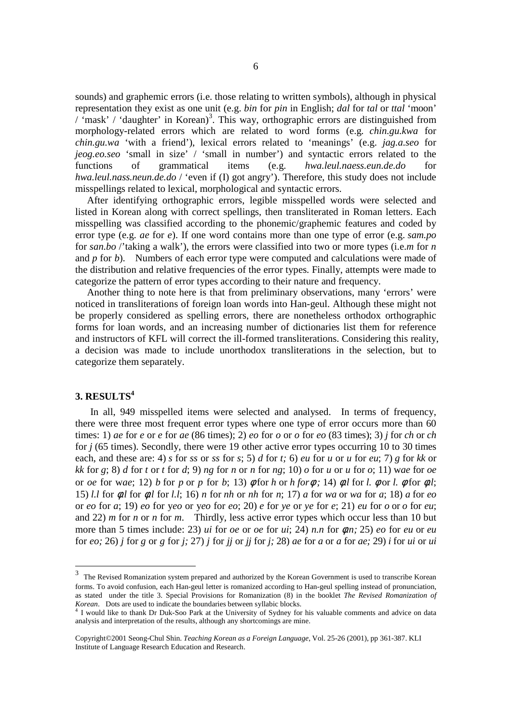sounds) and graphemic errors (i.e. those relating to written symbols), although in physical representation they exist as one unit (e.g. *bin* for *pin* in English; *dal* for *tal* or *ttal* 'moon'  $/$  'mask' / 'daughter' in Korean)<sup>3</sup>. This way, orthographic errors are distinguished from morphology-related errors which are related to word forms (e.g*. chin.gu.kwa* for *chin.gu.wa* 'with a friend'), lexical errors related to 'meanings' (e.g. *jag.a.seo* for *jeog.eo.seo* 'small in size' / 'small in number') and syntactic errors related to the functions of grammatical items (e.g. *hwa.leul.naess.eun.de.do* for *hwa.leul.nass.neun.de.do* / 'even if (I) got angry'). Therefore, this study does not include misspellings related to lexical, morphological and syntactic errors.

After identifying orthographic errors, legible misspelled words were selected and listed in Korean along with correct spellings, then transliterated in Roman letters. Each misspelling was classified according to the phonemic/graphemic features and coded by error type (e.g. *ae* for *e*). If one word contains more than one type of error (e.g. *sam.po* for *san.bo* /'taking a walk'), the errors were classified into two or more types (i.e.*m* for *n* and *p* for *b*). Numbers of each error type were computed and calculations were made of the distribution and relative frequencies of the error types. Finally, attempts were made to categorize the pattern of error types according to their nature and frequency.

Another thing to note here is that from preliminary observations, many 'errors' were noticed in transliterations of foreign loan words into Han-geul. Although these might not be properly considered as spelling errors, there are nonetheless orthodox orthographic forms for loan words, and an increasing number of dictionaries list them for reference and instructors of KFL will correct the ill-formed transliterations. Considering this reality, a decision was made to include unorthodox transliterations in the selection, but to categorize them separately.

#### **3. RESULTS<sup>4</sup>**

-

 In all, 949 misspelled items were selected and analysed. In terms of frequency, there were three most frequent error types where one type of error occurs more than 60 times: 1) *ae* for *e* or *e* for *ae* (86 times); 2) *eo* for *o* or *o* for *eo* (83 times); 3) *j* for *ch* or *ch* for *j* (65 times). Secondly, there were 19 other active error types occurring 10 to 30 times each, and these are: 4) *s* for *ss* or *ss* for *s*; 5) *d* for *t;* 6) *eu* for *u* or *u* for *eu*; 7) *g* for *kk* or *kk* for *g*; 8) *d* for *t* or *t* for *d*; 9) *ng* for *n* or *n* for *ng*; 10) *o* for *u* or *u* for *o*; 11) wae for *oe* or *oe* for w*ae*; 12) *b* for *p* or *p* for *b*; 13) φ for *h* or *h for*φ *;* 14) φ*.l* for *l.* φ or *l.* φ for φ*.l*; 15) *l.l* for φ*.l* for φ*.l* for *l.l*; 16) *n* for *nh* or *nh* for *n*; 17) *a* for *wa* or *wa* for *a*; 18) *a* for *eo* or *eo* for *a*; 19) *eo* for y*eo* or y*eo* for *eo*; 20) *e* for *ye* or *ye* for *e*; 21) *eu* for *o* or *o* for *eu*; and 22) *m* for *n* or *n* for *m*. Thirdly, less active error types which occur less than 10 but more than 5 times include: 23) *ui* for *oe* or *oe* for *ui*; 24) *n.n* for φ*.n;* 25) *eo* for *eu* or *eu* for *eo;* 26) *j* for *g* or *g* for *j;* 27) *j* for *jj* or *jj* for *j;* 28) *ae* for *a* or *a* for *ae;* 29) *i* for *ui* or *ui* 

<sup>3</sup> The Revised Romanization system prepared and authorized by the Korean Government is used to transcribe Korean forms. To avoid confusion, each Han-geul letter is romanized according to Han-geul spelling instead of pronunciation, as stated under the title 3. Special Provisions for Romanization (8) in the booklet *The Revised Romanization of* 

*Korean*. Dots are used to indicate the boundaries between syllabic blocks. 4 I would like to thank Dr Duk-Soo Park at the University of Sydney for his valuable comments and advice on data analysis and interpretation of the results, although any shortcomings are mine.

Copyright©2001 Seong-Chul Shin. *Teaching Korean as a Foreign Language*, Vol. 25-26 (2001), pp 361-387. KLI Institute of Language Research Education and Research.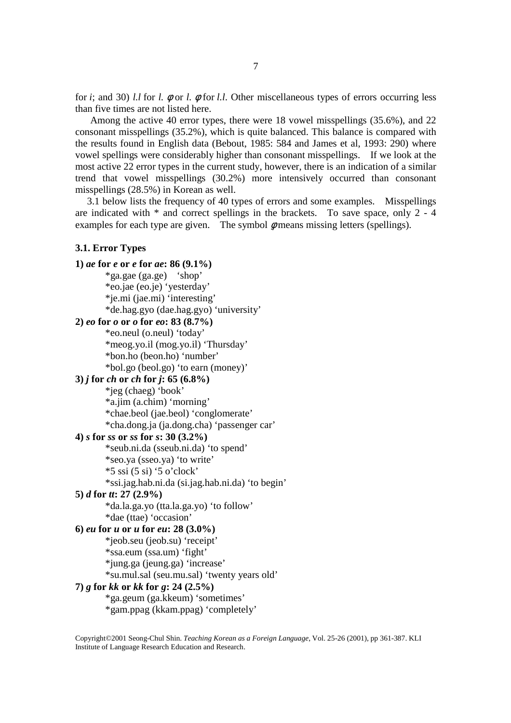for *i*; and 30) *l.l* for *l.* φ or *l.* φ for *l.l*. Other miscellaneous types of errors occurring less than five times are not listed here.

 Among the active 40 error types, there were 18 vowel misspellings (35.6%), and 22 consonant misspellings (35.2%), which is quite balanced. This balance is compared with the results found in English data (Bebout, 1985: 584 and James et al, 1993: 290) where vowel spellings were considerably higher than consonant misspellings. If we look at the most active 22 error types in the current study, however, there is an indication of a similar trend that vowel misspellings (30.2%) more intensively occurred than consonant misspellings (28.5%) in Korean as well.

3.1 below lists the frequency of 40 types of errors and some examples. Misspellings are indicated with \* and correct spellings in the brackets. To save space, only 2 - 4 examples for each type are given. The symbol  $\phi$  means missing letters (spellings).

## **3.1. Error Types 1)** *ae* **for** *e* **or** *e* **for** *ae***: 86 (9.1%)**  \*ga.gae (ga.ge) 'shop' \*eo.jae (eo.je) 'yesterday' \*je.mi (jae.mi) 'interesting' \*de.hag.gyo (dae.hag.gyo) 'university' **2)** *eo* **for** *o* **or** *o* **for** *eo***: 83 (8.7%)**  \*eo.neul (o.neul) 'today' \*meog.yo.il (mog.yo.il) 'Thursday' \*bon.ho (beon.ho) 'number' \*bol.go (beol.go) 'to earn (money)' **3)** *j* **for** *ch* **or** *ch* **for** *j***: 65 (6.8%)**  \*jeg (chaeg) 'book' \*a.jim (a.chim) 'morning' \*chae.beol (jae.beol) 'conglomerate' \*cha.dong.ja (ja.dong.cha) 'passenger car' **4)** *s* **for** *ss* **or** *ss* **for** *s***: 30 (3.2%)**  \*seub.ni.da (sseub.ni.da) 'to spend' \*seo.ya (sseo.ya) 'to write'  $*5$  ssi (5 si) '5 o'clock' \*ssi.jag.hab.ni.da (si.jag.hab.ni.da) 'to begin' **5)** *d* **for** *tt***: 27 (2.9%)**  \*da.la.ga.yo (tta.la.ga.yo) 'to follow' \*dae (ttae) 'occasion' **6)** *eu* **for** *u* **or** *u* **for** *eu***: 28 (3.0%)**  \*jeob.seu (jeob.su) 'receipt' \*ssa.eum (ssa.um) 'fight' \*jung.ga (jeung.ga) 'increase' \*su.mul.sal (seu.mu.sal) 'twenty years old' **7)** *g* **for** *kk* **or** *kk* **for** *g***: 24 (2.5%)**  \*ga.geum (ga.kkeum) 'sometimes' \*gam.ppag (kkam.ppag) 'completely'

Copyright©2001 Seong-Chul Shin. *Teaching Korean as a Foreign Language*, Vol. 25-26 (2001), pp 361-387. KLI Institute of Language Research Education and Research.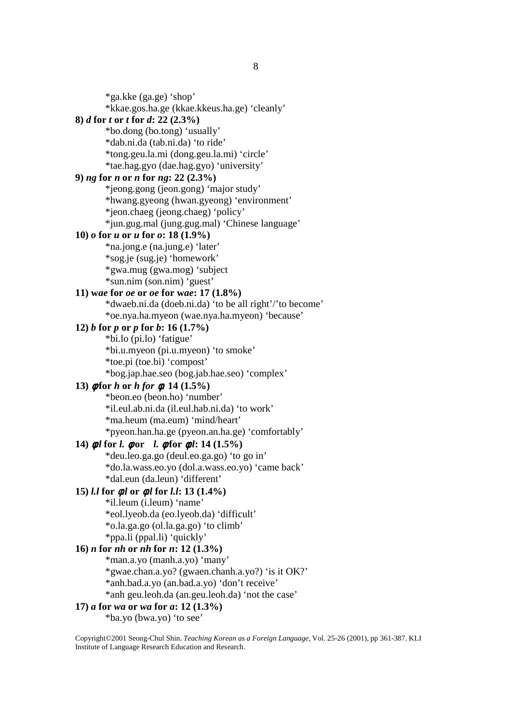\*ga.kke (ga.ge) 'shop'

\*kkae.gos.ha.ge (kkae.kkeus.ha.ge) 'cleanly'

### **8)** *d* **for** *t* **or** *t* **for** *d***: 22 (2.3%)**

 \*bo.dong (bo.tong) 'usually' \*dab.ni.da (tab.ni.da) 'to ride' \*tong.geu.la.mi (dong.geu.la.mi) 'circle' \*tae.hag.gyo (dae.hag.gyo) 'university'

#### **9)** *ng* **for** *n* **or** *n* **for** *ng***: 22 (2.3%)**

 \*jeong.gong (jeon.gong) 'major study' \*hwang.gyeong (hwan.gyeong) 'environment' \*jeon.chaeg (jeong.chaeg) 'policy' \*jun.gug.mal (jung.gug.mal) 'Chinese language'

#### **10)** *o* **for** *u* **or** *u* **for** *o***: 18 (1.9%)**

 \*na.jong.e (na.jung.e) 'later' \*sog.je (sug.je) 'homework' \*gwa.mug (gwa.mog) 'subject \*sun.nim (son.nim) 'guest'

### **11) w***ae* **for** *oe* **or** *oe* **for w***ae***: 17 (1.8%)**

 \*dwaeb.ni.da (doeb.ni.da) 'to be all right'/'to become' \*oe.nya.ha.myeon (wae.nya.ha.myeon) 'because'

## **12)** *b* **for** *p* **or** *p* **for** *b***: 16 (1.7%)**

 \*bi.lo (pi.lo) 'fatigue' \*bi.u.myeon (pi.u.myeon) 'to smoke' \*toe.pi (toe.bi) 'compost' \*bog.jap.hae.seo (bog.jab.hae.seo) 'complex'

## **13)** φ **for** *h* **or** *h for* φ*:* **14 (1.5%)**

 \*beon.eo (beon.ho) 'number' \*il.eul.ab.ni.da (il.eul.hab.ni.da) 'to work' \*ma.heum (ma.eum) 'mind/heart' \*pyeon.han.ha.ge (pyeon.an.ha.ge) 'comfortably'

## **14)** φ*.l* **for** *l.* φ **or** *l.* φ **for** φ*.l***: 14 (1.5%)**

 \*deu.leo.ga.go (deul.eo.ga.go) 'to go in' \*do.la.wass.eo.yo (dol.a.wass.eo.yo) 'came back' \*dal.eun (da.leun) 'different'

## **15)** *l.l* **for** φ*.l* **or** φ*.l* **for** *l.l***: 13 (1.4%)**

 \*il.leum (i.leum) 'name' \*eol.lyeob.da (eo.lyeob.da) 'difficult' \*o.la.ga.go (ol.la.ga.go) 'to climb' \*ppa.li (ppal.li) 'quickly'

### **16)** *n* **for** *nh* **or** *nh* **for** *n***: 12 (1.3%)**

 \*man.a.yo (manh.a.yo) 'many' \*gwae.chan.a.yo? (gwaen.chanh.a.yo?) 'is it OK?' \*anh.bad.a.yo (an.bad.a.yo) 'don't receive' \*anh geu.leoh.da (an.geu.leoh.da) 'not the case'

#### **17)** *a* **for** *wa* **or** *wa* **for** *a***: 12 (1.3%)**

\*ba.yo (bwa.yo) 'to see'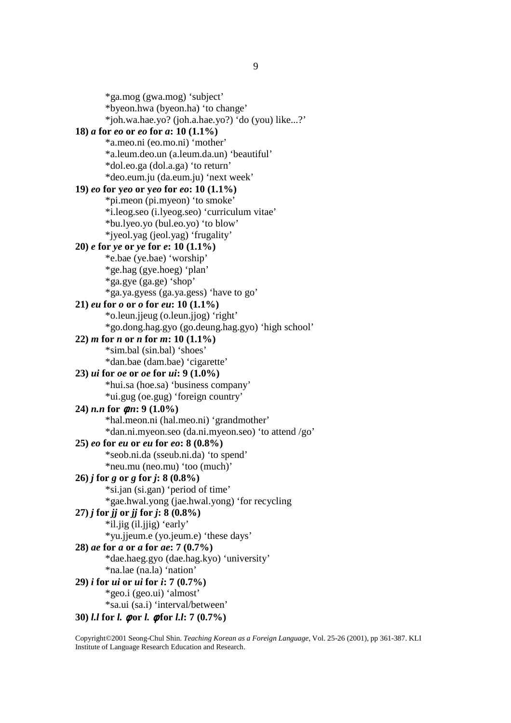\*ga.mog (gwa.mog) 'subject' \*byeon.hwa (byeon.ha) 'to change' \*joh.wa.hae.yo? (joh.a.hae.yo?) 'do (you) like...?' **18)** *a* **for** *eo* **or** *eo* **for** *a***: 10 (1.1%)**  \*a.meo.ni (eo.mo.ni) 'mother' \*a.leum.deo.un (a.leum.da.un) 'beautiful' \*dol.eo.ga (dol.a.ga) 'to return' \*deo.eum.ju (da.eum.ju) 'next week' **19)** *eo* **for y***eo* **or y***eo* **for** *eo***: 10 (1.1%)**  \*pi.meon (pi.myeon) 'to smoke' \*i.leog.seo (i.lyeog.seo) 'curriculum vitae' \*bu.lyeo.yo (bul.eo.yo) 'to blow' \*jyeol.yag (jeol.yag) 'frugality' **20)** *e* **for** *ye* **or** *ye* **for** *e***: 10 (1.1%)**  \*e.bae (ye.bae) 'worship' \*ge.hag (gye.hoeg) 'plan' \*ga.gye (ga.ge) 'shop' \*ga.ya.gyess (ga.ya.gess) 'have to go' **21)** *eu* **for** *o* **or** *o* **for** *eu***: 10 (1.1%)**  \*o.leun.jjeug (o.leun.jjog) 'right' \*go.dong.hag.gyo (go.deung.hag.gyo) 'high school' **22)** *m* **for** *n* **or** *n* **for** *m***: 10 (1.1%)**  \*sim.bal (sin.bal) 'shoes' \*dan.bae (dam.bae) 'cigarette' **23)** *ui* **for** *oe* **or** *oe* **for** *ui***: 9 (1.0%)**  \*hui.sa (hoe.sa) 'business company' \*ui.gug (oe.gug) 'foreign country' **24)** *n.n* **for** φ*.n***: 9 (1.0%)**  \*hal.meon.ni (hal.meo.ni) 'grandmother' \*dan.ni.myeon.seo (da.ni.myeon.seo) 'to attend /go' **25)** *eo* **for** *eu* **or** *eu* **for** *eo***: 8 (0.8%)**  \*seob.ni.da (sseub.ni.da) 'to spend' \*neu.mu (neo.mu) 'too (much)'  $26$ *j* for *g* or *g* for *j***:** 8 (0.8%) \*si.jan (si.gan) 'period of time' \*gae.hwal.yong (jae.hwal.yong) 'for recycling **27)** *j* **for** *jj* **or** *jj* **for** *j***: 8 (0.8%)**  \*il.jig (il.jjig) 'early' \*yu.jjeum.e (yo.jeum.e) 'these days' **28)** *ae* **for** *a* **or** *a* **for** *ae***: 7 (0.7%)**  \*dae.haeg.gyo (dae.hag.kyo) 'university' \*na.lae (na.la) 'nation' **29)** *i* **for** *ui* **or** *ui* **for** *i***: 7 (0.7%)**  \*geo.i (geo.ui) 'almost' \*sa.ui (sa.i) 'interval/between'

**30)** *l.l* **for** *l.* φ **or** *l.* φ **for** *l.l***: 7 (0.7%)**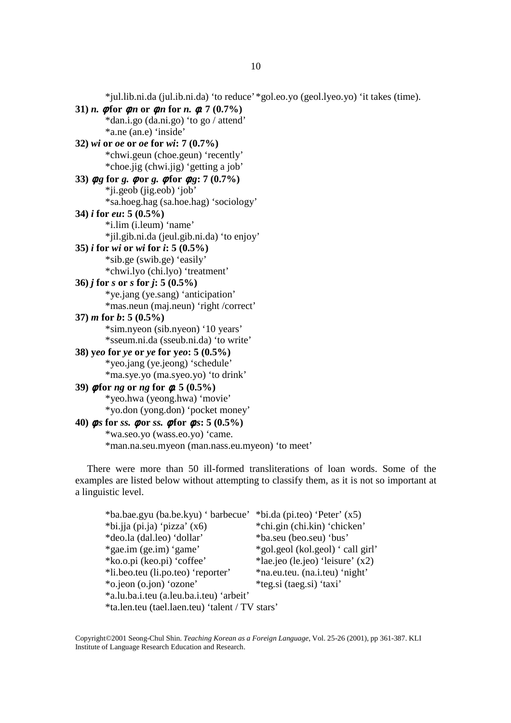\*jul.lib.ni.da (jul.ib.ni.da) 'to reduce' \*gol.eo.yo (geol.lyeo.yo) 'it takes (time).

```
31) n. \phi for \phin or \phin for n. \phi. 7 (0.7%)
         *dan.i.go (da.ni.go) 'to go / attend' 
        *a.ne (an.e) 'inside' 
32) wi or oe or oe for wi: 7 (0.7%) 
        *chwi.geun (choe.geun) 'recently' 
        *choe.jig (chwi.jig) 'getting a job' 
33) φ.g for g. φ or g. φ for φ.g: 7 (0.7%) 
        *ji.geob (jig.eob) 'job' 
        *sa.hoeg.hag (sa.hoe.hag) 'sociology' 
34) i for eu: 5 (0.5%) 
        *i.lim (i.leum) 'name' 
        *jil.gib.ni.da (jeul.gib.ni.da) 'to enjoy' 
35) i for wi or wi for i: 5 (0.5%) 
        *sib.ge (swib.ge) 'easily' 
       *chwi.lyo (chi.lyo) 'treatment' 
36) j for s or s for j: 5 (0.5%) 
        *ye.jang (ye.sang) 'anticipation' 
       *mas.neun (maj.neun) 'right /correct' 
37) m for b: 5 (0.5%) 
        *sim.nyeon (sib.nyeon) '10 years' 
        *sseum.ni.da (sseub.ni.da) 'to write' 
38) yeo for ye or ye for yeo: 5 (0.5%) 
         *yeo.jang (ye.jeong) 'schedule' 
        *ma.sye.yo (ma.syeo.yo) 'to drink' 
39) φ for ng or ng for φ: 5 (0.5%) 
        *yeo.hwa (yeong.hwa) 'movie' 
        *yo.don (yong.don) 'pocket money' 
40) φ.s for ss. φ or ss. φ for φ.s: 5 (0.5%) 
         *wa.seo.yo (wass.eo.yo) 'came. 
        *man.na.seu.myeon (man.nass.eu.myeon) 'to meet'
```
There were more than 50 ill-formed transliterations of loan words. Some of the examples are listed below without attempting to classify them, as it is not so important at a linguistic level.

| *ba.bae.gyu (ba.be.kyu) ' barbecue' *bi.da (pi.teo) 'Peter' (x5) |                                    |
|------------------------------------------------------------------|------------------------------------|
| $*bi.ija (pi.ja) 'pizza' (x6)$                                   | *chi.gin (chi.kin) 'chicken'       |
| *deo.la (dal.leo) 'dollar'                                       | *ba.seu (beo.seu) 'bus'            |
| *gae.im (ge.im) 'game'                                           | *gol.geol (kol.geol) ' call girl'  |
| *ko.o.pi (keo.pi) 'coffee'                                       | *lae.jeo (le.jeo) 'leisure' $(x2)$ |
| *li.beo.teu (li.po.teo) 'reporter'                               | *na.eu.teu. (na.i.teu) 'night'     |
| *o.jeon (o.jon) 'ozone'                                          | *teg.si (taeg.si) 'taxi'           |
| *a.lu.ba.i.teu (a.leu.ba.i.teu) 'arbeit'                         |                                    |
| *ta.len.teu (tael.laen.teu) 'talent / TV stars'                  |                                    |

Copyright©2001 Seong-Chul Shin. *Teaching Korean as a Foreign Language*, Vol. 25-26 (2001), pp 361-387. KLI Institute of Language Research Education and Research.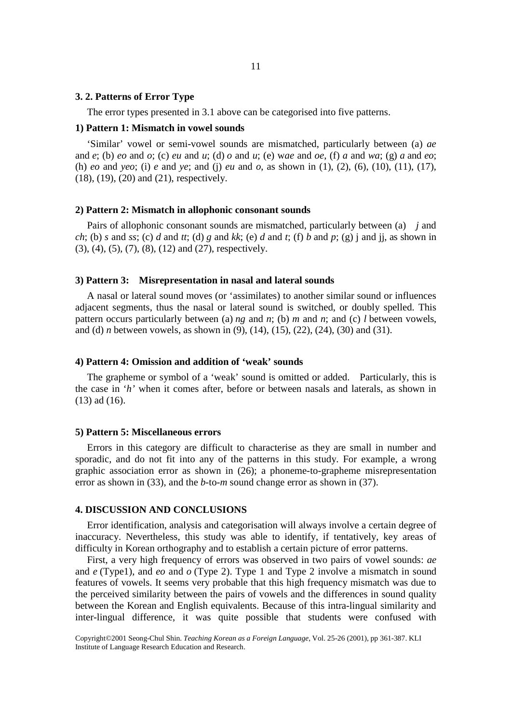#### **3. 2. Patterns of Error Type**

The error types presented in 3.1 above can be categorised into five patterns.

#### **1) Pattern 1: Mismatch in vowel sounds**

'Similar' vowel or semi-vowel sounds are mismatched, particularly between (a) *ae* and *e*; (b) *eo* and *o*; (c) *eu* and *u*; (d) *o* and *u*; (e) w*ae* and *oe*, (f) *a* and *wa*; (g) *a* and *eo*; (h) *eo* and *yeo*; (i) *e* and *ye*; and (j) *eu* and *o*, as shown in (1), (2), (6), (10), (11), (17), (18), (19), (20) and (21), respectively.

#### **2) Pattern 2: Mismatch in allophonic consonant sounds**

Pairs of allophonic consonant sounds are mismatched, particularly between (a) *j* and *ch*; (b) *s* and *ss*; (c) *d* and *tt*; (d) *g* and *kk*; (e) *d* and *t*; (f) *b* and *p*; (g) j and jj, as shown in (3), (4), (5), (7), (8), (12) and (27), respectively.

#### **3) Pattern 3: Misrepresentation in nasal and lateral sounds**

A nasal or lateral sound moves (or 'assimilates) to another similar sound or influences adjacent segments, thus the nasal or lateral sound is switched, or doubly spelled. This pattern occurs particularly between (a) *ng* and *n*; (b) *m* and *n*; and (c) *l* between vowels, and (d) *n* between vowels, as shown in (9), (14), (15), (22), (24), (30) and (31).

#### **4) Pattern 4: Omission and addition of 'weak' sounds**

The grapheme or symbol of a 'weak' sound is omitted or added. Particularly, this is the case in '*h'* when it comes after, before or between nasals and laterals, as shown in (13) ad (16).

#### **5) Pattern 5: Miscellaneous errors**

Errors in this category are difficult to characterise as they are small in number and sporadic, and do not fit into any of the patterns in this study. For example, a wrong graphic association error as shown in (26); a phoneme-to-grapheme misrepresentation error as shown in (33), and the *b*-to-*m* sound change error as shown in (37).

#### **4. DISCUSSION AND CONCLUSIONS**

Error identification, analysis and categorisation will always involve a certain degree of inaccuracy. Nevertheless, this study was able to identify, if tentatively, key areas of difficulty in Korean orthography and to establish a certain picture of error patterns.

First, a very high frequency of errors was observed in two pairs of vowel sounds: *ae* and *e* (Type1), and *eo* and *o* (Type 2). Type 1 and Type 2 involve a mismatch in sound features of vowels. It seems very probable that this high frequency mismatch was due to the perceived similarity between the pairs of vowels and the differences in sound quality between the Korean and English equivalents. Because of this intra-lingual similarity and inter-lingual difference, it was quite possible that students were confused with

Copyright©2001 Seong-Chul Shin. *Teaching Korean as a Foreign Language*, Vol. 25-26 (2001), pp 361-387. KLI Institute of Language Research Education and Research.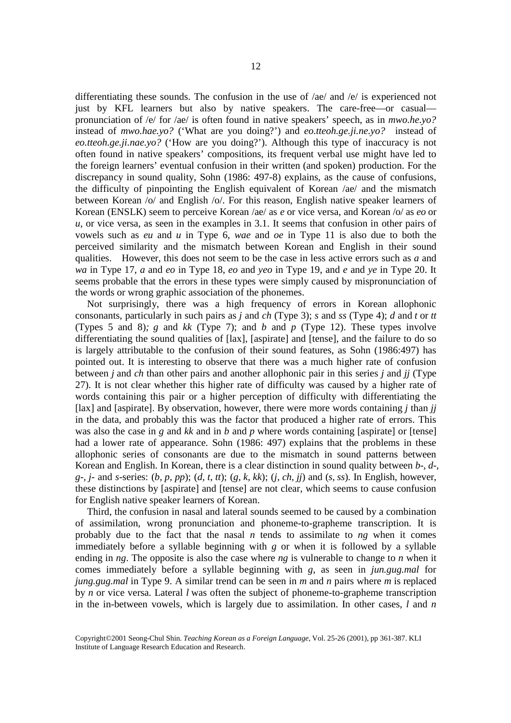differentiating these sounds. The confusion in the use of /ae/ and /e/ is experienced not just by KFL learners but also by native speakers. The care-free—or casual pronunciation of /e/ for /ae/ is often found in native speakers' speech, as in *mwo.he.yo?* instead of *mwo.hae.yo?* ('What are you doing?') and *eo.tteoh.ge.ji.ne.yo?* instead of *eo.tteoh.ge.ji.nae.yo?* ('How are you doing?'). Although this type of inaccuracy is not often found in native speakers' compositions, its frequent verbal use might have led to the foreign learners' eventual confusion in their written (and spoken) production. For the discrepancy in sound quality, Sohn (1986: 497-8) explains, as the cause of confusions, the difficulty of pinpointing the English equivalent of Korean /ae/ and the mismatch between Korean /o/ and English /o/. For this reason, English native speaker learners of Korean (ENSLK) seem to perceive Korean /ae/ as *e* or vice versa, and Korean /o/ as *eo* or *u*, or vice versa, as seen in the examples in 3.1. It seems that confusion in other pairs of vowels such as *eu* and *u* in Type 6, *wae* and *oe* in Type 11 is also due to both the perceived similarity and the mismatch between Korean and English in their sound qualities. However, this does not seem to be the case in less active errors such as *a* and *wa* in Type 17, *a* and *eo* in Type 18, *eo* and *yeo* in Type 19, and *e* and *ye* in Type 20. It seems probable that the errors in these types were simply caused by mispronunciation of the words or wrong graphic association of the phonemes.

Not surprisingly, there was a high frequency of errors in Korean allophonic consonants, particularly in such pairs as *j* and *ch* (Type 3); *s* and *ss* (Type 4); *d* and *t* or *tt* (Types 5 and 8)*; g* and *kk* (Type 7); and *b* and *p* (Type 12). These types involve differentiating the sound qualities of [lax], [aspirate] and [tense], and the failure to do so is largely attributable to the confusion of their sound features, as Sohn (1986:497) has pointed out. It is interesting to observe that there was a much higher rate of confusion between *j* and *ch* than other pairs and another allophonic pair in this series *j* and *jj* (Type 27). It is not clear whether this higher rate of difficulty was caused by a higher rate of words containing this pair or a higher perception of difficulty with differentiating the [lax] and [aspirate]. By observation, however, there were more words containing *j* than *jj* in the data, and probably this was the factor that produced a higher rate of errors. This was also the case in *g* and *kk* and in *b* and *p* where words containing [aspirate] or [tense] had a lower rate of appearance. Sohn (1986: 497) explains that the problems in these allophonic series of consonants are due to the mismatch in sound patterns between Korean and English. In Korean, there is a clear distinction in sound quality between *b-, d-, g-, j-* and *s*-series: (*b, p, pp*); (*d, t, tt*); (*g, k, kk*); (*j, ch, jj*) and (*s, ss*). In English, however, these distinctions by [aspirate] and [tense] are not clear, which seems to cause confusion for English native speaker learners of Korean.

Third, the confusion in nasal and lateral sounds seemed to be caused by a combination of assimilation, wrong pronunciation and phoneme-to-grapheme transcription. It is probably due to the fact that the nasal *n* tends to assimilate to *ng* when it comes immediately before a syllable beginning with *g* or when it is followed by a syllable ending in *ng*. The opposite is also the case where *ng* is vulnerable to change to *n* when it comes immediately before a syllable beginning with *g*, as seen in *jun.gug.mal* for *jung.gug.mal* in Type 9. A similar trend can be seen in *m* and *n* pairs where *m* is replaced by *n* or vice versa. Lateral *l* was often the subject of phoneme-to-grapheme transcription in the in-between vowels, which is largely due to assimilation. In other cases, *l* and *n*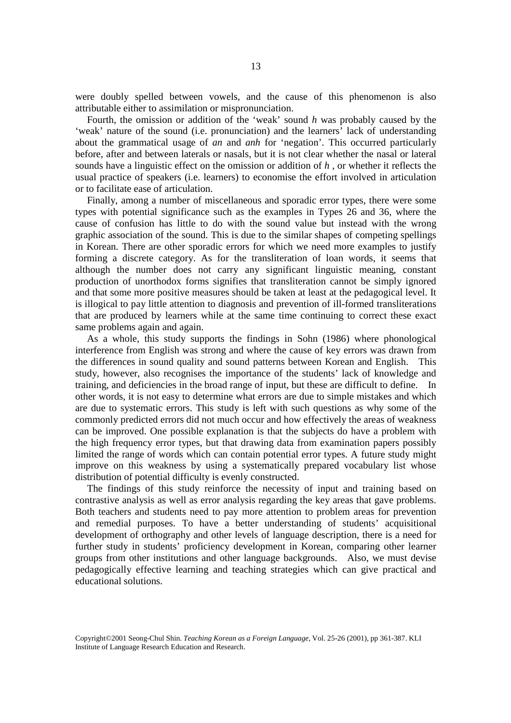were doubly spelled between vowels, and the cause of this phenomenon is also attributable either to assimilation or mispronunciation.

Fourth, the omission or addition of the 'weak' sound *h* was probably caused by the 'weak' nature of the sound (i.e. pronunciation) and the learners' lack of understanding about the grammatical usage of *an* and *anh* for 'negation'. This occurred particularly before, after and between laterals or nasals, but it is not clear whether the nasal or lateral sounds have a linguistic effect on the omission or addition of *h* , or whether it reflects the usual practice of speakers (i.e. learners) to economise the effort involved in articulation or to facilitate ease of articulation.

Finally, among a number of miscellaneous and sporadic error types, there were some types with potential significance such as the examples in Types 26 and 36, where the cause of confusion has little to do with the sound value but instead with the wrong graphic association of the sound. This is due to the similar shapes of competing spellings in Korean. There are other sporadic errors for which we need more examples to justify forming a discrete category. As for the transliteration of loan words, it seems that although the number does not carry any significant linguistic meaning, constant production of unorthodox forms signifies that transliteration cannot be simply ignored and that some more positive measures should be taken at least at the pedagogical level. It is illogical to pay little attention to diagnosis and prevention of ill-formed transliterations that are produced by learners while at the same time continuing to correct these exact same problems again and again.

As a whole, this study supports the findings in Sohn (1986) where phonological interference from English was strong and where the cause of key errors was drawn from the differences in sound quality and sound patterns between Korean and English. This study, however, also recognises the importance of the students' lack of knowledge and training, and deficiencies in the broad range of input, but these are difficult to define. In other words, it is not easy to determine what errors are due to simple mistakes and which are due to systematic errors. This study is left with such questions as why some of the commonly predicted errors did not much occur and how effectively the areas of weakness can be improved. One possible explanation is that the subjects do have a problem with the high frequency error types, but that drawing data from examination papers possibly limited the range of words which can contain potential error types. A future study might improve on this weakness by using a systematically prepared vocabulary list whose distribution of potential difficulty is evenly constructed.

The findings of this study reinforce the necessity of input and training based on contrastive analysis as well as error analysis regarding the key areas that gave problems. Both teachers and students need to pay more attention to problem areas for prevention and remedial purposes. To have a better understanding of students' acquisitional development of orthography and other levels of language description, there is a need for further study in students' proficiency development in Korean, comparing other learner groups from other institutions and other language backgrounds. Also, we must devise pedagogically effective learning and teaching strategies which can give practical and educational solutions.